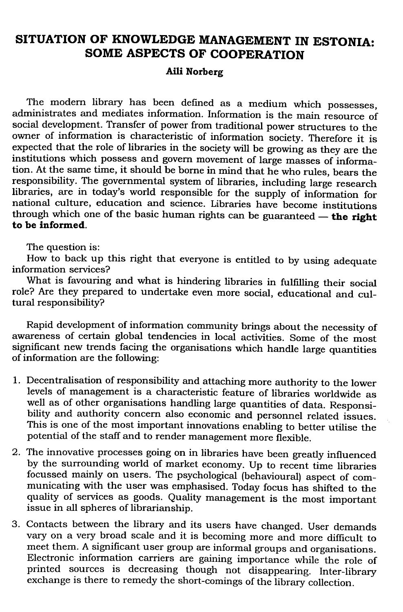## SITUATION OF KNOWLEDGE MANAGEMENT IN ESTONIA: SOME ASPECTS OF COOPERATION

## Aili Norberg

The modern library has been defined as a medium which possesses, administrates and mediates information. Information is the main resource of social development. Transfer of power from traditional power structures to the owner of information is characteristic of information society. Therefore it is expected that the role of libraries in the society will be growing as they are the institutions which possess and govern movement of large masses of information. At the same time, it should be borne in mind that he who rules, bears the responsibility. The governmental system of libraries, including large research libraries, are in today's world responsible for the supply of information for national culture, education and science. Libraries have become institutions through which one of the basic human rights can be guaranteed  $-$  the right to be informed.

The question is:

How to back up this right that everyone is entitled to by using adequate information services?

What is favouring and what is hindering libraries in fulfilling their social role? Are they prepared to undertake even more social, educational and cultural responsibility?

Rapid development of information community brings about the necessity of awareness of certain global tendencies in local activities. Some of the most significant new trends facing the organisations which handle large quantities of information are the following:

- 1. Decentralisation of responsibility and attaching more authority to the lower levels of management is a characteristic feature of libraries worldwide as well as of other organisations handling large quantities of data. Responsibility and authority concern also economic and personnel related issues. This is one of the most important innovations enabling to better utilise the potential of the staff and to render management more flexible.
- 2. The innovative processes going on in libraries have been greatly influenced by the surrounding world of market economy. Up to recent time libraries focussed mainly on users. The psychological (behavioural) aspect of communicating with the user was emphasised. Today focus has shifted to the quality of services as goods. Quality management is the most important issue in all spheres of librarianship.
- 3. Contacts between the library and its users have changed. User demands vary on a very broad scale and it is becoming more and more difficult to meet them. A significant user group are informal groups and organisations. Electronic information carriers are gaining importance while the role of printed sources is decreasing though not disappearing. Inter-library exchange is there to remedy the short-comings of the library collection.